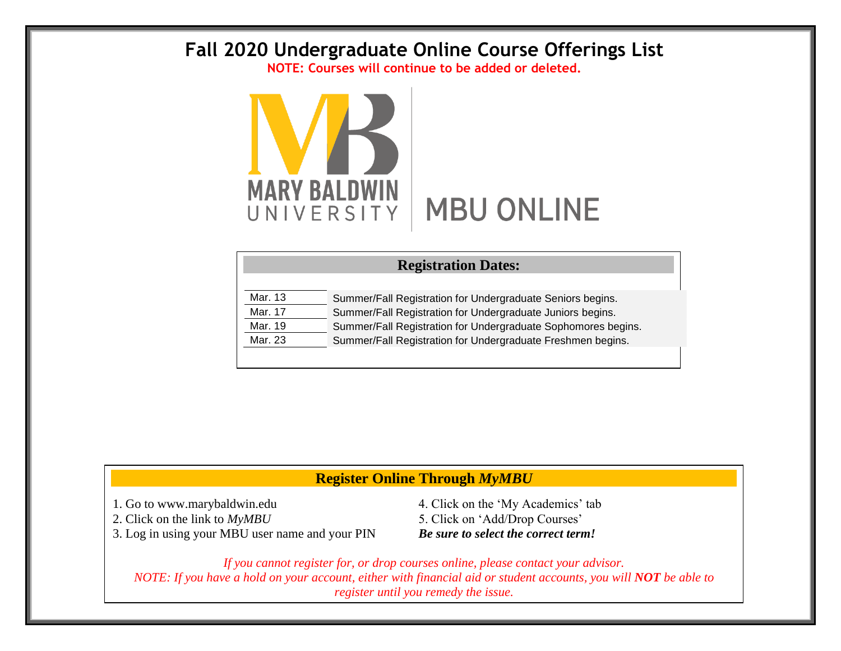## **Fall 2020 Undergraduate Online Course Offerings List**

**NOTE: Courses will continue to be added or deleted.**



| <b>Registration Dates:</b> |                                                               |  |  |  |  |  |  |
|----------------------------|---------------------------------------------------------------|--|--|--|--|--|--|
|                            |                                                               |  |  |  |  |  |  |
| Mar. 13                    | Summer/Fall Registration for Undergraduate Seniors begins.    |  |  |  |  |  |  |
| Mar. 17                    | Summer/Fall Registration for Undergraduate Juniors begins.    |  |  |  |  |  |  |
| Mar. 19                    | Summer/Fall Registration for Undergraduate Sophomores begins. |  |  |  |  |  |  |
| Mar. 23                    | Summer/Fall Registration for Undergraduate Freshmen begins.   |  |  |  |  |  |  |
|                            |                                                               |  |  |  |  |  |  |

## **Register Online Through** *MyMBU*

3. Log in using your MBU user name and your PIN *Be sure to select the correct term!*

1. Go to www.marybaldwin.edu 4. Click on the 'My Academics' tab 2. Click on the link to  $MyMBU$  5. Click on 'Add/Drop Courses'

*If you cannot register for, or drop courses online, please contact your advisor. NOTE: If you have a hold on your account, either with financial aid or student accounts, you will NOT be able to register until you remedy the issue.*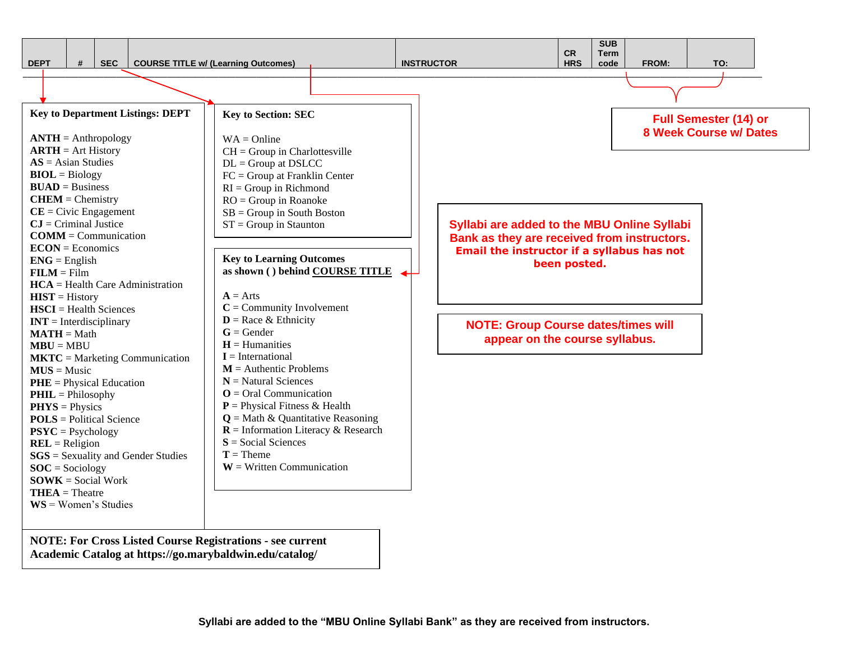

**NOTE: For Cross Listed Course Registrations - see current Academic Catalog at https://go.marybaldwin.edu/catalog/**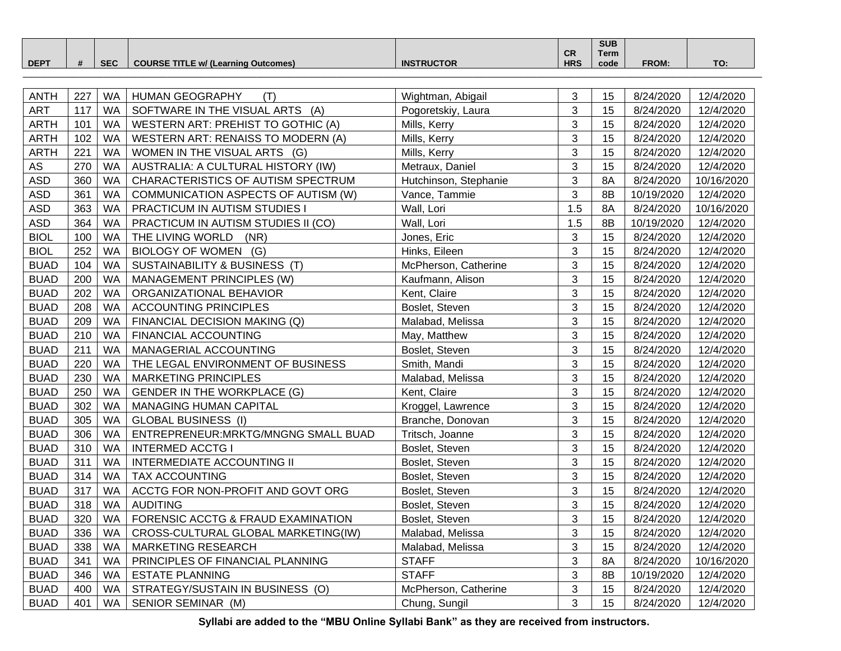|             |                 |                                                      |                       |            | <b>SUB</b> |       |                       |
|-------------|-----------------|------------------------------------------------------|-----------------------|------------|------------|-------|-----------------------|
|             |                 |                                                      |                       | <b>CR</b>  | Term       |       |                       |
| <b>DEPT</b> | SE <sub>C</sub> | E TITLE w/ (Learning (<br><b>COURSE</b><br>Outcomes) | TRUCTOR<br><b>INS</b> | <b>HRS</b> | code       | FROM: | T <sub>O</sub><br>. . |
|             |                 |                                                      |                       |            |            |       |                       |

| <b>ANTH</b> | 227 | <b>WA</b> | <b>HUMAN GEOGRAPHY</b><br>(T)        | Wightman, Abigail     | 3              | 15 | 8/24/2020  | 12/4/2020  |
|-------------|-----|-----------|--------------------------------------|-----------------------|----------------|----|------------|------------|
| <b>ART</b>  | 117 | <b>WA</b> | SOFTWARE IN THE VISUAL ARTS (A)      | Pogoretskiy, Laura    | 3              | 15 | 8/24/2020  | 12/4/2020  |
| <b>ARTH</b> | 101 | <b>WA</b> | WESTERN ART: PREHIST TO GOTHIC (A)   | Mills, Kerry          | 3              | 15 | 8/24/2020  | 12/4/2020  |
| <b>ARTH</b> | 102 | <b>WA</b> | WESTERN ART: RENAISS TO MODERN (A)   | Mills, Kerry          | 3              | 15 | 8/24/2020  | 12/4/2020  |
| <b>ARTH</b> | 221 | <b>WA</b> | WOMEN IN THE VISUAL ARTS (G)         | Mills, Kerry          | 3              | 15 | 8/24/2020  | 12/4/2020  |
| ${\sf AS}$  | 270 | <b>WA</b> | AUSTRALIA: A CULTURAL HISTORY (IW)   | Metraux, Daniel       | 3              | 15 | 8/24/2020  | 12/4/2020  |
| <b>ASD</b>  | 360 | <b>WA</b> | CHARACTERISTICS OF AUTISM SPECTRUM   | Hutchinson, Stephanie | 3              | 8A | 8/24/2020  | 10/16/2020 |
| <b>ASD</b>  | 361 | <b>WA</b> | COMMUNICATION ASPECTS OF AUTISM (W)  | Vance, Tammie         | $\overline{3}$ | 8B | 10/19/2020 | 12/4/2020  |
| <b>ASD</b>  | 363 | <b>WA</b> | PRACTICUM IN AUTISM STUDIES I        | Wall, Lori            | 1.5            | 8A | 8/24/2020  | 10/16/2020 |
| <b>ASD</b>  | 364 | <b>WA</b> | PRACTICUM IN AUTISM STUDIES II (CO)  | Wall, Lori            | 1.5            | 8B | 10/19/2020 | 12/4/2020  |
| <b>BIOL</b> | 100 | <b>WA</b> | THE LIVING WORLD<br>(NR)             | Jones, Eric           | $\mathbf{3}$   | 15 | 8/24/2020  | 12/4/2020  |
| <b>BIOL</b> | 252 | <b>WA</b> | BIOLOGY OF WOMEN (G)                 | Hinks, Eileen         | $\mathfrak{S}$ | 15 | 8/24/2020  | 12/4/2020  |
| <b>BUAD</b> | 104 | <b>WA</b> | SUSTAINABILITY & BUSINESS (T)        | McPherson, Catherine  | 3              | 15 | 8/24/2020  | 12/4/2020  |
| <b>BUAD</b> | 200 | <b>WA</b> | MANAGEMENT PRINCIPLES (W)            | Kaufmann, Alison      | 3              | 15 | 8/24/2020  | 12/4/2020  |
| <b>BUAD</b> | 202 | <b>WA</b> | ORGANIZATIONAL BEHAVIOR              | Kent, Claire          | 3              | 15 | 8/24/2020  | 12/4/2020  |
| <b>BUAD</b> | 208 | <b>WA</b> | <b>ACCOUNTING PRINCIPLES</b>         | Boslet, Steven        | 3              | 15 | 8/24/2020  | 12/4/2020  |
| <b>BUAD</b> | 209 | <b>WA</b> | FINANCIAL DECISION MAKING (Q)        | Malabad, Melissa      | 3              | 15 | 8/24/2020  | 12/4/2020  |
| <b>BUAD</b> | 210 | <b>WA</b> | FINANCIAL ACCOUNTING                 | May, Matthew          | 3              | 15 | 8/24/2020  | 12/4/2020  |
| <b>BUAD</b> | 211 | WA        | MANAGERIAL ACCOUNTING                | Boslet, Steven        | 3              | 15 | 8/24/2020  | 12/4/2020  |
| <b>BUAD</b> | 220 | <b>WA</b> | THE LEGAL ENVIRONMENT OF BUSINESS    | Smith, Mandi          | 3              | 15 | 8/24/2020  | 12/4/2020  |
| <b>BUAD</b> | 230 | <b>WA</b> | <b>MARKETING PRINCIPLES</b>          | Malabad, Melissa      | 3              | 15 | 8/24/2020  | 12/4/2020  |
| <b>BUAD</b> | 250 | <b>WA</b> | <b>GENDER IN THE WORKPLACE (G)</b>   | Kent, Claire          | 3              | 15 | 8/24/2020  | 12/4/2020  |
| <b>BUAD</b> | 302 | <b>WA</b> | MANAGING HUMAN CAPITAL               | Kroggel, Lawrence     | 3              | 15 | 8/24/2020  | 12/4/2020  |
| <b>BUAD</b> | 305 | <b>WA</b> | <b>GLOBAL BUSINESS (I)</b>           | Branche, Donovan      | 3              | 15 | 8/24/2020  | 12/4/2020  |
| <b>BUAD</b> | 306 | <b>WA</b> | ENTREPRENEUR: MRKTG/MNGNG SMALL BUAD | Tritsch, Joanne       | 3              | 15 | 8/24/2020  | 12/4/2020  |
| <b>BUAD</b> | 310 | <b>WA</b> | <b>INTERMED ACCTG I</b>              | Boslet, Steven        | 3              | 15 | 8/24/2020  | 12/4/2020  |
| <b>BUAD</b> | 311 | <b>WA</b> | <b>INTERMEDIATE ACCOUNTING II</b>    | Boslet, Steven        | 3              | 15 | 8/24/2020  | 12/4/2020  |
| <b>BUAD</b> | 314 | <b>WA</b> | TAX ACCOUNTING                       | Boslet, Steven        | 3              | 15 | 8/24/2020  | 12/4/2020  |
| <b>BUAD</b> | 317 | <b>WA</b> | ACCTG FOR NON-PROFIT AND GOVT ORG    | Boslet, Steven        | 3              | 15 | 8/24/2020  | 12/4/2020  |
| <b>BUAD</b> | 318 | <b>WA</b> | <b>AUDITING</b>                      | Boslet, Steven        | 3              | 15 | 8/24/2020  | 12/4/2020  |
| <b>BUAD</b> | 320 | <b>WA</b> | FORENSIC ACCTG & FRAUD EXAMINATION   | Boslet, Steven        | 3              | 15 | 8/24/2020  | 12/4/2020  |
| <b>BUAD</b> | 336 | <b>WA</b> | CROSS-CULTURAL GLOBAL MARKETING(IW)  | Malabad, Melissa      | 3              | 15 | 8/24/2020  | 12/4/2020  |
| <b>BUAD</b> | 338 | <b>WA</b> | MARKETING RESEARCH                   | Malabad, Melissa      | 3              | 15 | 8/24/2020  | 12/4/2020  |
| <b>BUAD</b> | 341 | <b>WA</b> | PRINCIPLES OF FINANCIAL PLANNING     | <b>STAFF</b>          | 3              | 8A | 8/24/2020  | 10/16/2020 |
| <b>BUAD</b> | 346 | <b>WA</b> | <b>ESTATE PLANNING</b>               | <b>STAFF</b>          | 3              | 8B | 10/19/2020 | 12/4/2020  |
| <b>BUAD</b> | 400 | <b>WA</b> | STRATEGY/SUSTAIN IN BUSINESS (O)     | McPherson, Catherine  | $\mathfrak{S}$ | 15 | 8/24/2020  | 12/4/2020  |
| <b>BUAD</b> | 401 | <b>WA</b> | SENIOR SEMINAR (M)                   | Chung, Sungil         | 3              | 15 | 8/24/2020  | 12/4/2020  |

**Syllabi are added to the "MBU Online Syllabi Bank" as they are received from instructors.**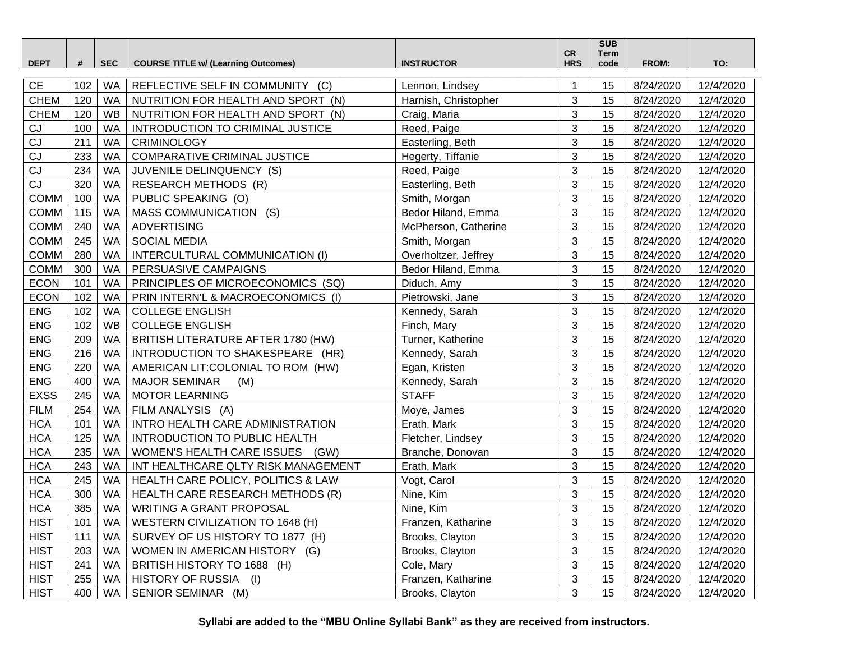| <b>DEPT</b> | #   | <b>SEC</b> | <b>COURSE TITLE w/ (Learning Outcomes)</b> | <b>INSTRUCTOR</b>    | ${\sf CR}$<br><b>HRS</b> | <b>SUB</b><br>Term<br>code | FROM:     | TO:       |
|-------------|-----|------------|--------------------------------------------|----------------------|--------------------------|----------------------------|-----------|-----------|
|             |     |            |                                            |                      |                          |                            |           |           |
| <b>CE</b>   | 102 | <b>WA</b>  | REFLECTIVE SELF IN COMMUNITY (C)           | Lennon, Lindsey      |                          | 15                         | 8/24/2020 | 12/4/2020 |
| <b>CHEM</b> | 120 | <b>WA</b>  | NUTRITION FOR HEALTH AND SPORT (N)         | Harnish, Christopher | 3                        | 15                         | 8/24/2020 | 12/4/2020 |
| <b>CHEM</b> | 120 | WB         | NUTRITION FOR HEALTH AND SPORT (N)         | Craig, Maria         | 3                        | 15                         | 8/24/2020 | 12/4/2020 |
| CJ          | 100 | <b>WA</b>  | INTRODUCTION TO CRIMINAL JUSTICE           | Reed, Paige          | 3                        | 15                         | 8/24/2020 | 12/4/2020 |
| CJ          | 211 | <b>WA</b>  | <b>CRIMINOLOGY</b>                         | Easterling, Beth     | 3                        | 15                         | 8/24/2020 | 12/4/2020 |
| CJ          | 233 | <b>WA</b>  | COMPARATIVE CRIMINAL JUSTICE               | Hegerty, Tiffanie    | 3                        | 15                         | 8/24/2020 | 12/4/2020 |
| CJ          | 234 | WA         | JUVENILE DELINQUENCY (S)                   | Reed, Paige          | 3                        | 15                         | 8/24/2020 | 12/4/2020 |
| CJ          | 320 | WA         | <b>RESEARCH METHODS (R)</b>                | Easterling, Beth     | 3                        | 15                         | 8/24/2020 | 12/4/2020 |
| <b>COMM</b> | 100 | WA         | PUBLIC SPEAKING (O)                        | Smith, Morgan        | 3                        | 15                         | 8/24/2020 | 12/4/2020 |
| COMM        | 115 | <b>WA</b>  | <b>MASS COMMUNICATION</b><br>(S)           | Bedor Hiland, Emma   | 3                        | 15                         | 8/24/2020 | 12/4/2020 |
| <b>COMM</b> | 240 | <b>WA</b>  | <b>ADVERTISING</b>                         | McPherson, Catherine | 3                        | 15                         | 8/24/2020 | 12/4/2020 |
| <b>COMM</b> | 245 | <b>WA</b>  | <b>SOCIAL MEDIA</b>                        | Smith, Morgan        | 3                        | 15                         | 8/24/2020 | 12/4/2020 |
| COMM        | 280 | WA         | INTERCULTURAL COMMUNICATION (I)            | Overholtzer, Jeffrey | 3                        | 15                         | 8/24/2020 | 12/4/2020 |
| <b>COMM</b> | 300 | <b>WA</b>  | PERSUASIVE CAMPAIGNS                       | Bedor Hiland, Emma   | 3                        | 15                         | 8/24/2020 | 12/4/2020 |
| <b>ECON</b> | 101 | <b>WA</b>  | PRINCIPLES OF MICROECONOMICS (SQ)          | Diduch, Amy          | 3                        | 15                         | 8/24/2020 | 12/4/2020 |
| <b>ECON</b> | 102 | <b>WA</b>  | PRIN INTERN'L & MACROECONOMICS (I)         | Pietrowski, Jane     | 3                        | 15                         | 8/24/2020 | 12/4/2020 |
| ${\sf ENG}$ | 102 | <b>WA</b>  | <b>COLLEGE ENGLISH</b>                     | Kennedy, Sarah       | 3                        | 15                         | 8/24/2020 | 12/4/2020 |
| <b>ENG</b>  | 102 | <b>WB</b>  | <b>COLLEGE ENGLISH</b>                     | Finch, Mary          | 3                        | 15                         | 8/24/2020 | 12/4/2020 |
| <b>ENG</b>  | 209 | <b>WA</b>  | BRITISH LITERATURE AFTER 1780 (HW)         | Turner, Katherine    | 3                        | 15                         | 8/24/2020 | 12/4/2020 |
| <b>ENG</b>  | 216 | <b>WA</b>  | INTRODUCTION TO SHAKESPEARE (HR)           | Kennedy, Sarah       | 3                        | 15                         | 8/24/2020 | 12/4/2020 |
| <b>ENG</b>  | 220 | <b>WA</b>  | AMERICAN LIT: COLONIAL TO ROM (HW)         | Egan, Kristen        | 3                        | 15                         | 8/24/2020 | 12/4/2020 |
| ENG         | 400 | <b>WA</b>  | <b>MAJOR SEMINAR</b><br>(M)                | Kennedy, Sarah       | 3                        | 15                         | 8/24/2020 | 12/4/2020 |
| <b>EXSS</b> | 245 | <b>WA</b>  | <b>MOTOR LEARNING</b>                      | <b>STAFF</b>         | 3                        | 15                         | 8/24/2020 | 12/4/2020 |
| <b>FILM</b> | 254 | <b>WA</b>  | FILM ANALYSIS (A)                          | Moye, James          | 3                        | 15                         | 8/24/2020 | 12/4/2020 |
| <b>HCA</b>  | 101 | <b>WA</b>  | INTRO HEALTH CARE ADMINISTRATION           | Erath, Mark          | 3                        | 15                         | 8/24/2020 | 12/4/2020 |
| <b>HCA</b>  | 125 | <b>WA</b>  | INTRODUCTION TO PUBLIC HEALTH              | Fletcher, Lindsey    | 3                        | 15                         | 8/24/2020 | 12/4/2020 |
| <b>HCA</b>  | 235 | WA         | WOMEN'S HEALTH CARE ISSUES (GW)            | Branche, Donovan     | 3                        | 15                         | 8/24/2020 | 12/4/2020 |
| <b>HCA</b>  | 243 | WA         | INT HEALTHCARE QLTY RISK MANAGEMENT        | Erath, Mark          | 3                        | 15                         | 8/24/2020 | 12/4/2020 |
| <b>HCA</b>  | 245 | <b>WA</b>  | HEALTH CARE POLICY, POLITICS & LAW         | Vogt, Carol          | 3                        | 15                         | 8/24/2020 | 12/4/2020 |
| <b>HCA</b>  | 300 | WA         | HEALTH CARE RESEARCH METHODS (R)           | Nine, Kim            | 3                        | 15                         | 8/24/2020 | 12/4/2020 |
| <b>HCA</b>  | 385 | <b>WA</b>  | <b>WRITING A GRANT PROPOSAL</b>            | Nine, Kim            | 3                        | 15                         | 8/24/2020 | 12/4/2020 |
| <b>HIST</b> | 101 | WA         | <b>WESTERN CIVILIZATION TO 1648 (H)</b>    | Franzen, Katharine   | 3                        | 15                         | 8/24/2020 | 12/4/2020 |
| <b>HIST</b> | 111 | WA         | SURVEY OF US HISTORY TO 1877 (H)           | Brooks, Clayton      | 3                        | 15                         | 8/24/2020 | 12/4/2020 |
| <b>HIST</b> | 203 | WA         | WOMEN IN AMERICAN HISTORY (G)              | Brooks, Clayton      | 3                        | 15                         | 8/24/2020 | 12/4/2020 |
| <b>HIST</b> | 241 | WA         | BRITISH HISTORY TO 1688 (H)                | Cole, Mary           | 3                        | 15                         | 8/24/2020 | 12/4/2020 |
| <b>HIST</b> | 255 | WA         | HISTORY OF RUSSIA (I)                      | Franzen, Katharine   | 3                        | 15                         | 8/24/2020 | 12/4/2020 |
| <b>HIST</b> | 400 | WA         | SENIOR SEMINAR (M)                         | Brooks, Clayton      | 3                        | 15                         | 8/24/2020 | 12/4/2020 |

**Syllabi are added to the "MBU Online Syllabi Bank" as they are received from instructors.**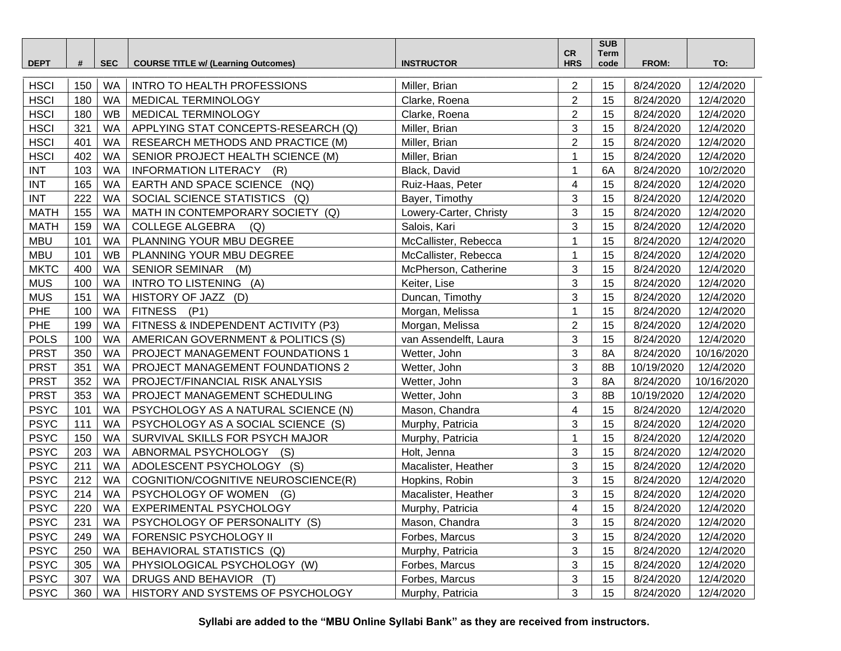| <b>DEPT</b> | #   | <b>SEC</b> | <b>COURSE TITLE w/ (Learning Outcomes)</b> | <b>INSTRUCTOR</b>      | <b>CR</b><br><b>HRS</b> | <b>SUB</b><br>Term<br>code | FROM:      | TO:        |
|-------------|-----|------------|--------------------------------------------|------------------------|-------------------------|----------------------------|------------|------------|
|             |     |            |                                            |                        |                         |                            |            |            |
| <b>HSCI</b> | 150 | <b>WA</b>  | <b>INTRO TO HEALTH PROFESSIONS</b>         | Miller, Brian          | $\overline{2}$          | 15                         | 8/24/2020  | 12/4/2020  |
| <b>HSCI</b> | 180 | <b>WA</b>  | MEDICAL TERMINOLOGY                        | Clarke, Roena          | $\overline{2}$          | 15                         | 8/24/2020  | 12/4/2020  |
| <b>HSCI</b> | 180 | WB         | MEDICAL TERMINOLOGY                        | Clarke, Roena          | $\overline{2}$          | 15                         | 8/24/2020  | 12/4/2020  |
| <b>HSCI</b> | 321 | <b>WA</b>  | APPLYING STAT CONCEPTS-RESEARCH (Q)        | Miller, Brian          | 3                       | 15                         | 8/24/2020  | 12/4/2020  |
| <b>HSCI</b> | 401 | <b>WA</b>  | RESEARCH METHODS AND PRACTICE (M)          | Miller, Brian          | $\overline{2}$          | 15                         | 8/24/2020  | 12/4/2020  |
| <b>HSCI</b> | 402 | <b>WA</b>  | SENIOR PROJECT HEALTH SCIENCE (M)          | Miller, Brian          | 1                       | 15                         | 8/24/2020  | 12/4/2020  |
| <b>INT</b>  | 103 | WA         | INFORMATION LITERACY (R)                   | Black, David           | 1                       | 6A                         | 8/24/2020  | 10/2/2020  |
| <b>INT</b>  | 165 | WA         | EARTH AND SPACE SCIENCE (NQ)               | Ruiz-Haas, Peter       | 4                       | 15                         | 8/24/2020  | 12/4/2020  |
| <b>INT</b>  | 222 | <b>WA</b>  | SOCIAL SCIENCE STATISTICS<br>(Q)           | Bayer, Timothy         | 3                       | 15                         | 8/24/2020  | 12/4/2020  |
| <b>MATH</b> | 155 | <b>WA</b>  | MATH IN CONTEMPORARY SOCIETY (Q)           | Lowery-Carter, Christy | 3                       | 15                         | 8/24/2020  | 12/4/2020  |
| <b>MATH</b> | 159 | <b>WA</b>  | <b>COLLEGE ALGEBRA</b><br>(Q)              | Salois, Kari           | 3                       | 15                         | 8/24/2020  | 12/4/2020  |
| <b>MBU</b>  | 101 | <b>WA</b>  | PLANNING YOUR MBU DEGREE                   | McCallister, Rebecca   | 1                       | 15                         | 8/24/2020  | 12/4/2020  |
| <b>MBU</b>  | 101 | <b>WB</b>  | PLANNING YOUR MBU DEGREE                   | McCallister, Rebecca   |                         | 15                         | 8/24/2020  | 12/4/2020  |
| <b>MKTC</b> | 400 | <b>WA</b>  | <b>SENIOR SEMINAR</b><br>(M)               | McPherson, Catherine   | 3                       | 15                         | 8/24/2020  | 12/4/2020  |
| <b>MUS</b>  | 100 | <b>WA</b>  | INTRO TO LISTENING (A)                     | Keiter, Lise           | 3                       | 15                         | 8/24/2020  | 12/4/2020  |
| <b>MUS</b>  | 151 | <b>WA</b>  | HISTORY OF JAZZ (D)                        | Duncan, Timothy        | 3                       | 15                         | 8/24/2020  | 12/4/2020  |
| PHE         | 100 | <b>WA</b>  | FITNESS (P1)                               | Morgan, Melissa        | 1                       | 15                         | 8/24/2020  | 12/4/2020  |
| PHE         | 199 | <b>WA</b>  | FITNESS & INDEPENDENT ACTIVITY (P3)        | Morgan, Melissa        | $\overline{2}$          | 15                         | 8/24/2020  | 12/4/2020  |
| <b>POLS</b> | 100 | <b>WA</b>  | AMERICAN GOVERNMENT & POLITICS (S)         | van Assendelft, Laura  | 3                       | 15                         | 8/24/2020  | 12/4/2020  |
| <b>PRST</b> | 350 | <b>WA</b>  | PROJECT MANAGEMENT FOUNDATIONS 1           | Wetter, John           | 3                       | 8A                         | 8/24/2020  | 10/16/2020 |
| <b>PRST</b> | 351 | WA         | PROJECT MANAGEMENT FOUNDATIONS 2           | Wetter, John           | 3                       | 8B                         | 10/19/2020 | 12/4/2020  |
| <b>PRST</b> | 352 | <b>WA</b>  | PROJECT/FINANCIAL RISK ANALYSIS            | Wetter, John           | 3                       | 8A                         | 8/24/2020  | 10/16/2020 |
| <b>PRST</b> | 353 | <b>WA</b>  | PROJECT MANAGEMENT SCHEDULING              | Wetter, John           | 3                       | 8B                         | 10/19/2020 | 12/4/2020  |
| <b>PSYC</b> | 101 | <b>WA</b>  | PSYCHOLOGY AS A NATURAL SCIENCE (N)        | Mason, Chandra         | 4                       | 15                         | 8/24/2020  | 12/4/2020  |
| <b>PSYC</b> | 111 | <b>WA</b>  | PSYCHOLOGY AS A SOCIAL SCIENCE (S)         | Murphy, Patricia       | 3                       | 15                         | 8/24/2020  | 12/4/2020  |
| <b>PSYC</b> | 150 | <b>WA</b>  | SURVIVAL SKILLS FOR PSYCH MAJOR            | Murphy, Patricia       | 1                       | 15                         | 8/24/2020  | 12/4/2020  |
| <b>PSYC</b> | 203 | <b>WA</b>  | ABNORMAL PSYCHOLOGY (S)                    | Holt, Jenna            | 3                       | 15                         | 8/24/2020  | 12/4/2020  |
| <b>PSYC</b> | 211 | <b>WA</b>  | ADOLESCENT PSYCHOLOGY (S)                  | Macalister, Heather    | 3                       | 15                         | 8/24/2020  | 12/4/2020  |
| <b>PSYC</b> | 212 | <b>WA</b>  | COGNITION/COGNITIVE NEUROSCIENCE(R)        | Hopkins, Robin         | 3                       | 15                         | 8/24/2020  | 12/4/2020  |
| <b>PSYC</b> | 214 | <b>WA</b>  | PSYCHOLOGY OF WOMEN<br>(G)                 | Macalister, Heather    | 3                       | 15                         | 8/24/2020  | 12/4/2020  |
| <b>PSYC</b> | 220 | <b>WA</b>  | <b>EXPERIMENTAL PSYCHOLOGY</b>             | Murphy, Patricia       | $\overline{4}$          | 15                         | 8/24/2020  | 12/4/2020  |
| <b>PSYC</b> | 231 | WA         | PSYCHOLOGY OF PERSONALITY (S)              | Mason, Chandra         | 3                       | 15                         | 8/24/2020  | 12/4/2020  |
| <b>PSYC</b> | 249 | WA         | <b>FORENSIC PSYCHOLOGY II</b>              | Forbes, Marcus         | 3                       | 15                         | 8/24/2020  | 12/4/2020  |
| <b>PSYC</b> | 250 | <b>WA</b>  | BEHAVIORAL STATISTICS (Q)                  | Murphy, Patricia       | 3                       | 15                         | 8/24/2020  | 12/4/2020  |
| <b>PSYC</b> | 305 | WA         | PHYSIOLOGICAL PSYCHOLOGY (W)               | Forbes, Marcus         | 3                       | 15                         | 8/24/2020  | 12/4/2020  |
| <b>PSYC</b> | 307 | WA         | DRUGS AND BEHAVIOR (T)                     | Forbes, Marcus         | 3                       | 15                         | 8/24/2020  | 12/4/2020  |
| <b>PSYC</b> | 360 | WA         | HISTORY AND SYSTEMS OF PSYCHOLOGY          | Murphy, Patricia       | 3                       | 15                         | 8/24/2020  | 12/4/2020  |

**Syllabi are added to the "MBU Online Syllabi Bank" as they are received from instructors.**